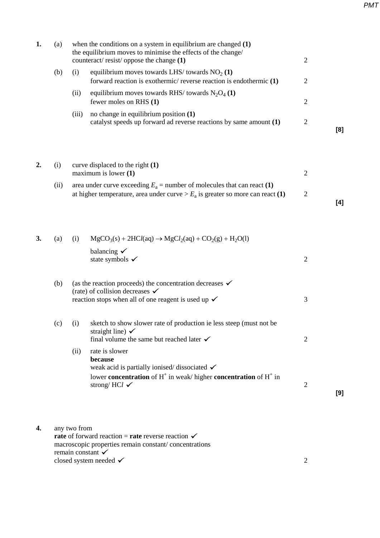*PMT*

| (a) |       | when the conditions on a system in equilibrium are changed $(1)$                                                          | 2                                                                                                       |     |
|-----|-------|---------------------------------------------------------------------------------------------------------------------------|---------------------------------------------------------------------------------------------------------|-----|
| (b) | (1)   | equilibrium moves towards LHS/ towards $NO2 (1)$<br>forward reaction is exothermic/ reverse reaction is endothermic $(1)$ | 2                                                                                                       |     |
|     | (11)  | equilibrium moves towards RHS/ towards $N_2O_4(1)$<br>fewer moles on RHS (1)                                              | 2                                                                                                       |     |
|     | (iii) | no change in equilibrium position $(1)$<br>catalyst speeds up forward ad reverse reactions by same amount (1)             | 2                                                                                                       | [8] |
|     |       |                                                                                                                           | the equilibrium moves to minimise the effects of the change/<br>counteract/resist/oppose the change (1) |     |

| 2. |      | curve displaced to the right $(1)$<br>maximum is lower $(1)$                                                                                                 |   |     |
|----|------|--------------------------------------------------------------------------------------------------------------------------------------------------------------|---|-----|
|    | (11) | area under curve exceeding $E_a$ = number of molecules that can react (1)<br>at higher temperature, area under curve $>E_a$ is greater so more can react (1) | 2 | [4] |

| 3. | (a) | (i)  | $MgCO3(s) + 2HCl(aq) \rightarrow MgCl2(aq) + CO2(g) + H2O(l)$                                                                                                                             |                |     |
|----|-----|------|-------------------------------------------------------------------------------------------------------------------------------------------------------------------------------------------|----------------|-----|
|    |     |      | balancing $\checkmark$<br>state symbols $\checkmark$                                                                                                                                      | $\overline{2}$ |     |
|    | (b) |      | (as the reaction proceeds) the concentration decreases $\checkmark$<br>(rate) of collision decreases $\checkmark$<br>reaction stops when all of one reagent is used up $\checkmark$       | 3              |     |
|    |     |      |                                                                                                                                                                                           |                |     |
|    | (c) | (i)  | sketch to show slower rate of production ie less steep (must not be<br>straight line) $\checkmark$<br>final volume the same but reached later $\checkmark$                                | 2              |     |
|    |     | (ii) | rate is slower<br>because<br>weak acid is partially ionised/dissociated $\checkmark$<br>lower concentration of $H^+$ in weak/ higher concentration of $H^+$ in<br>strong/HCl $\checkmark$ | $\overline{2}$ |     |
|    |     |      |                                                                                                                                                                                           |                | [9] |

| 4. | any two from                                                  |  |
|----|---------------------------------------------------------------|--|
|    | rate of forward reaction = rate reverse reaction $\checkmark$ |  |
|    | macroscopic properties remain constant/concentrations         |  |
|    | remain constant $\checkmark$                                  |  |
|    | closed system needed $\checkmark$                             |  |
|    |                                                               |  |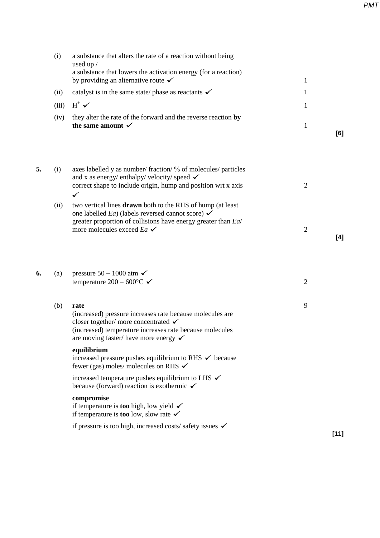(i) a substance that alters the rate of a reaction without being used up / a substance that lowers the activation energy (for a reaction) by providing an alternative route  $\checkmark$  1 (ii) catalyst is in the same state/ phase as reactants  $\checkmark$  1 (iii)  $H^+ \blacktriangleright$  1 (iv) they alter the rate of the forward and the reverse reaction **by the same amount**  $\checkmark$  1 **[6] 5.** (i) axes labelled y as number/ fraction/ % of molecules/ particles and x as energy/ enthalpy/ velocity/ speed  $\checkmark$ correct shape to include origin, hump and position wrt x axis 2  $\checkmark$ (ii) two vertical lines **drawn** both to the RHS of hump (at least one labelled *Ea*) (labels reversed cannot score)  $\checkmark$ greater proportion of collisions have energy greater than *Ea*/ more molecules exceed  $E_a \times 2$ **[4] 6.** (a) pressure  $50 - 1000$  atm  $\checkmark$ temperature 200 – 600 $\degree$ C  $\checkmark$  2 (b) **rate** 9 (increased) pressure increases rate because molecules are closer together/ more concentrated  $\checkmark$ (increased) temperature increases rate because molecules are moving faster/ have more energy  $\checkmark$ **equilibrium** increased pressure pushes equilibrium to RHS  $\checkmark$  because fewer (gas) moles/ molecules on RHS  $\checkmark$ increased temperature pushes equilibrium to LHS  $\checkmark$ because (forward) reaction is exothermic  $\checkmark$ **compromise** if temperature is **too** high, low yield if temperature is **too** low, slow rate  $\checkmark$ if pressure is too high, increased costs/ safety issues  $\checkmark$ **[11]** *PMT*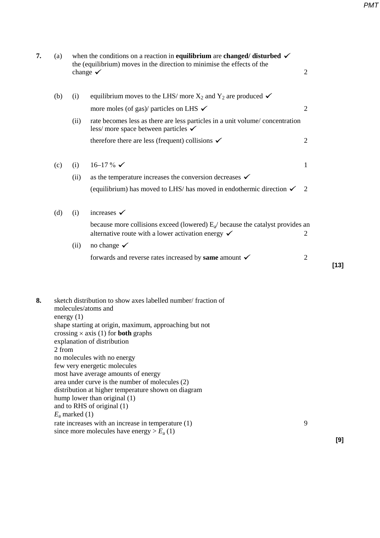| 7. | (a)    |                                  | when the conditions on a reaction in <b>equilibrium</b> are <b>changed</b> / <b>disturbed</b> $\checkmark$<br>the (equilibrium) moves in the direction to minimise the effects of the<br>change $\checkmark$                                                                                                                                                                                                                                                                                                                                                           | $\overline{2}$           |
|----|--------|----------------------------------|------------------------------------------------------------------------------------------------------------------------------------------------------------------------------------------------------------------------------------------------------------------------------------------------------------------------------------------------------------------------------------------------------------------------------------------------------------------------------------------------------------------------------------------------------------------------|--------------------------|
|    | (b)    | (i)                              | equilibrium moves to the LHS/ more $X_2$ and $Y_2$ are produced $\checkmark$                                                                                                                                                                                                                                                                                                                                                                                                                                                                                           |                          |
|    |        |                                  | more moles (of gas)/ particles on LHS $\checkmark$                                                                                                                                                                                                                                                                                                                                                                                                                                                                                                                     | $\overline{2}$           |
|    |        | (ii)                             | rate becomes less as there are less particles in a unit volume/concentration<br>less/ more space between particles $\checkmark$                                                                                                                                                                                                                                                                                                                                                                                                                                        |                          |
|    |        |                                  | therefore there are less (frequent) collisions $\checkmark$                                                                                                                                                                                                                                                                                                                                                                                                                                                                                                            | $\overline{2}$           |
|    | (c)    | (i)                              | $16-17 \%$ $\checkmark$                                                                                                                                                                                                                                                                                                                                                                                                                                                                                                                                                | $\mathbf{1}$             |
|    |        | (ii)                             | as the temperature increases the conversion decreases $\checkmark$                                                                                                                                                                                                                                                                                                                                                                                                                                                                                                     |                          |
|    |        |                                  | (equilibrium) has moved to LHS/ has moved in endothermic direction $\checkmark$                                                                                                                                                                                                                                                                                                                                                                                                                                                                                        | 2                        |
|    | (d)    | (i)                              | increases $\checkmark$                                                                                                                                                                                                                                                                                                                                                                                                                                                                                                                                                 |                          |
|    |        |                                  | because more collisions exceed (lowered) $E_a$ because the catalyst provides an<br>alternative route with a lower activation energy $\checkmark$                                                                                                                                                                                                                                                                                                                                                                                                                       | $\overline{2}$           |
|    |        | (ii)                             | no change $\checkmark$                                                                                                                                                                                                                                                                                                                                                                                                                                                                                                                                                 |                          |
|    |        |                                  | forwards and reverse rates increased by same amount $\checkmark$                                                                                                                                                                                                                                                                                                                                                                                                                                                                                                       | $\overline{c}$<br>$[13]$ |
| 8. | 2 from | energy $(1)$<br>$E_a$ marked (1) | sketch distribution to show axes labelled number/ fraction of<br>molecules/atoms and<br>shape starting at origin, maximum, approaching but not<br>crossing $\times$ axis (1) for <b>both</b> graphs<br>explanation of distribution<br>no molecules with no energy<br>few very energetic molecules<br>most have average amounts of energy<br>area under curve is the number of molecules (2)<br>distribution at higher temperature shown on diagram<br>hump lower than original (1)<br>and to RHS of original (1)<br>rate increases with an increase in temperature (1) | 9                        |

since more molecules have energy  $>E_a(1)$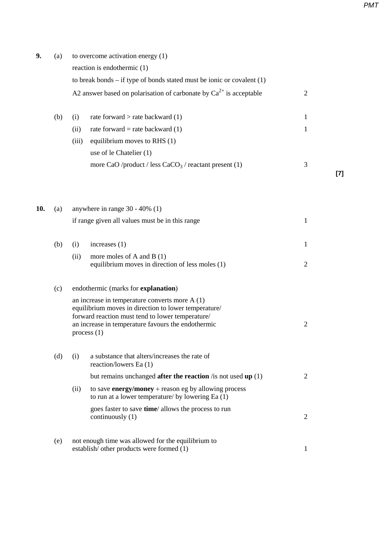**9.** (a) to overcome activation energy (1) reaction is endothermic (1) to break bonds – if type of bonds stated must be ionic or covalent (1) A2 answer based on polarisation of carbonate by  $Ca^{2+}$  is acceptable 2 (b) (i) rate forward  $>$  rate backward (1) 1 (ii) rate forward = rate backward  $(1)$  1 (iii) equilibrium moves to RHS (1) use of le Chatelier (1) more CaO /product / less CaCO<sub>3</sub> / reactant present (1)  $\frac{3}{2}$ **[7] 10.** (a) anywhere in range 30 - 40% (1) if range given all values must be in this range  $1$ (b) (i) increases (1) 1 (ii) more moles of A and B (1) equilibrium moves in direction of less moles (1) 2 (c) endothermic (marks for **explanation**) an increase in temperature converts more A (1) equilibrium moves in direction to lower temperature/ forward reaction must tend to lower temperature/ an increase in temperature favours the endothermic 2 process (1) (d) (i) a substance that alters/increases the rate of reaction/lowers Ea (1) but remains unchanged **after the reaction** /is not used **up** (1) 2 (ii) to save **energy/money** + reason eg by allowing process to run at a lower temperature/ by lowering Ea (1) goes faster to save **time**/ allows the process to run continuously (1) 2 (e) not enough time was allowed for the equilibrium to

*PMT*

establish/ other products were formed (1) 1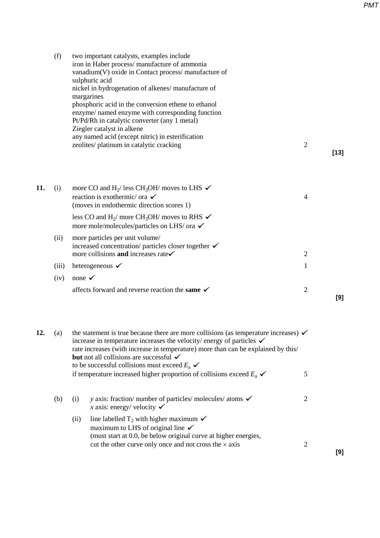**[9]**

|     | (f)   | two important catalysts, examples include<br>iron in Haber process/manufacture of ammonia<br>vanadium(V) oxide in Contact process/ manufacture of<br>sulphuric acid<br>nickel in hydrogenation of alkenes/manufacture of<br>margarines<br>phosphoric acid in the conversion ethene to ethanol<br>enzyme/ named enzyme with corresponding function<br>Pt/Pd/Rh in catalytic converter (any 1 metal)<br>Ziegler catalyst in alkene<br>any named acid (except nitric) in esterification<br>zeolites/ platinum in catalytic cracking | $\overline{2}$ |        |
|-----|-------|----------------------------------------------------------------------------------------------------------------------------------------------------------------------------------------------------------------------------------------------------------------------------------------------------------------------------------------------------------------------------------------------------------------------------------------------------------------------------------------------------------------------------------|----------------|--------|
|     |       |                                                                                                                                                                                                                                                                                                                                                                                                                                                                                                                                  |                | $[13]$ |
| 11. | (i)   | more CO and H <sub>2</sub> / less CH <sub>3</sub> OH/ moves to LHS $\checkmark$<br>reaction is exothermic/ or $\checkmark$<br>(moves in endothermic direction scores 1)                                                                                                                                                                                                                                                                                                                                                          | $\overline{4}$ |        |
|     |       | less CO and H <sub>2</sub> / more CH <sub>3</sub> OH/ moves to RHS $\checkmark$<br>more mole/molecules/particles on LHS/ ora $\checkmark$                                                                                                                                                                                                                                                                                                                                                                                        |                |        |
|     | (ii)  | more particles per unit volume/<br>increased concentration/ particles closer together $\checkmark$<br>more collisions and increases rate $\checkmark$                                                                                                                                                                                                                                                                                                                                                                            | $\mathfrak{2}$ |        |
|     | (iii) | heterogeneous $\checkmark$                                                                                                                                                                                                                                                                                                                                                                                                                                                                                                       | 1              |        |
|     | (iv)  | none $\checkmark$                                                                                                                                                                                                                                                                                                                                                                                                                                                                                                                |                |        |
|     |       | affects forward and reverse reaction the same $\checkmark$                                                                                                                                                                                                                                                                                                                                                                                                                                                                       | 2              | [9]    |

| 12. | (a) |      | the statement is true because there are more collisions (as temperature increases) $\checkmark$<br>increase in temperature increases the velocity/energy of particles $\checkmark$<br>rate increases (with increase in temperature) more than can be explained by this/<br><b>but</b> not all collisions are successful $\checkmark$<br>to be successful collisions must exceed $E_a \checkmark$ |   |  |  |  |
|-----|-----|------|--------------------------------------------------------------------------------------------------------------------------------------------------------------------------------------------------------------------------------------------------------------------------------------------------------------------------------------------------------------------------------------------------|---|--|--|--|
|     |     |      | if temperature increased higher proportion of collisions exceed $E_a \checkmark$                                                                                                                                                                                                                                                                                                                 | 5 |  |  |  |
|     | (b) | (i)  | y axis: fraction/ number of particles/ molecules/ atoms $\checkmark$<br>x axis: energy/velocity $\checkmark$                                                                                                                                                                                                                                                                                     | 2 |  |  |  |
|     |     | (ii) | line labelled $T_2$ with higher maximum $\checkmark$<br>maximum to LHS of original line $\checkmark$<br>(must start at 0.0, be below original curve at higher energies,                                                                                                                                                                                                                          |   |  |  |  |
|     |     |      | cut the other curve only once and not cross the $\times$ axis                                                                                                                                                                                                                                                                                                                                    | 2 |  |  |  |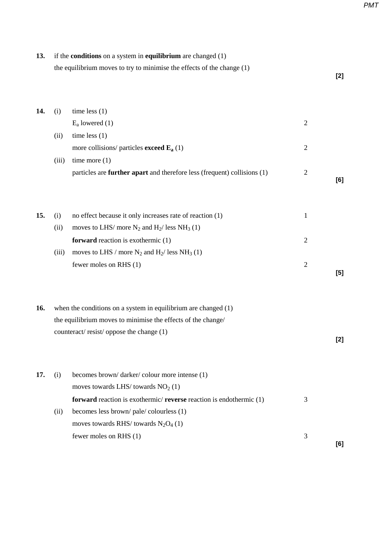| 13. |       | if the <b>conditions</b> on a system in <b>equilibrium</b> are changed $(1)$    |                |       |
|-----|-------|---------------------------------------------------------------------------------|----------------|-------|
|     |       | the equilibrium moves to try to minimise the effects of the change $(1)$        |                | $[2]$ |
| 14. | (i)   | time less $(1)$                                                                 |                |       |
|     |       | $E_a$ lowered (1)                                                               | $\overline{2}$ |       |
|     | (ii)  | time less $(1)$                                                                 |                |       |
|     |       | more collisions/ particles <b>exceed</b> $\mathbf{E}_a$ (1)                     | $\overline{2}$ |       |
|     | (iii) | time more $(1)$                                                                 |                |       |
|     |       | particles are <b>further apart</b> and therefore less (frequent) collisions (1) | $\overline{2}$ |       |
|     |       |                                                                                 |                | [6]   |
| 15. | (i)   | no effect because it only increases rate of reaction (1)                        | $\mathbf{1}$   |       |
|     | (ii)  | moves to LHS/ more $N_2$ and $H_2$ / less NH <sub>3</sub> (1)                   |                |       |
|     |       | forward reaction is exothermic $(1)$                                            | $\overline{2}$ |       |
|     | (iii) | moves to LHS / more $N_2$ and $H_2$ / less NH <sub>3</sub> (1)                  |                |       |
|     |       | fewer moles on RHS (1)                                                          | $\overline{2}$ |       |
|     |       |                                                                                 |                | $[5]$ |
| 16. |       | when the conditions on a system in equilibrium are changed $(1)$                |                |       |
|     |       | the equilibrium moves to minimise the effects of the change/                    |                |       |
|     |       | counteract/resist/oppose the change (1)                                         |                | [2]   |
| 17. | (i)   | becomes brown/darker/colour more intense (1)                                    |                |       |
|     |       | moves towards LHS/towards $NO2(1)$                                              |                |       |
|     |       | forward reaction is exothermic/ reverse reaction is endothermic (1)             | 3              |       |
|     | (ii)  | becomes less brown/pale/colourless (1)                                          |                |       |
|     |       | moves towards RHS/ towards $N_2O_4$ (1)                                         |                |       |
|     |       | fewer moles on RHS (1)                                                          | 3              | [6]   |
|     |       |                                                                                 |                |       |

*PMT*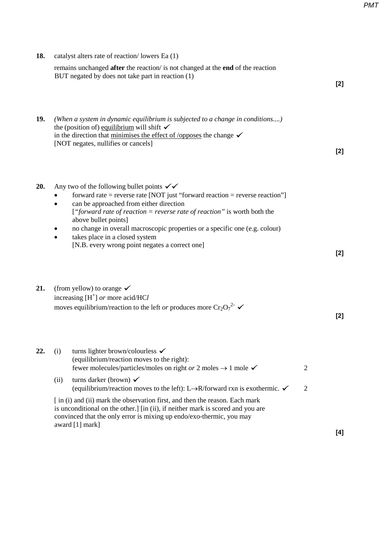| 18. |                        | catalyst alters rate of reaction/lowers Ea (1)<br>remains unchanged after the reaction/ is not changed at the end of the reaction<br>BUT negated by does not take part in reaction (1)                                                                                                                                                                                                                                                                                                                                                                                                      |        | $[2]$ |
|-----|------------------------|---------------------------------------------------------------------------------------------------------------------------------------------------------------------------------------------------------------------------------------------------------------------------------------------------------------------------------------------------------------------------------------------------------------------------------------------------------------------------------------------------------------------------------------------------------------------------------------------|--------|-------|
| 19. |                        | (When a system in dynamic equilibrium is subjected to a change in conditions)<br>the (position of) equilibrium will shift $\checkmark$<br>in the direction that minimises the effect of /opposes the change $\checkmark$<br>[NOT negates, nullifies or cancels]                                                                                                                                                                                                                                                                                                                             |        | [2]   |
| 20. | $\bullet$<br>$\bullet$ | Any two of the following bullet points $\checkmark\checkmark$<br>forward rate = reverse rate [NOT just "forward reaction = reverse reaction"]<br>can be approached from either direction<br>["forward rate of reaction = reverse rate of reaction" is worth both the<br>above bullet points]<br>no change in overall macroscopic properties or a specific one (e.g. colour)<br>takes place in a closed system<br>[N.B. every wrong point negates a correct one]                                                                                                                             |        | $[2]$ |
| 21. |                        | (from yellow) to orange $\checkmark$<br>increasing $[H^+]$ or more acid/HCl<br>moves equilibrium/reaction to the left or produces more $Cr_2O_7^{2-}$ $\checkmark$                                                                                                                                                                                                                                                                                                                                                                                                                          |        | $[2]$ |
| 22. | (i)<br>(ii)            | turns lighter brown/colourless $\checkmark$<br>(equilibrium/reaction moves to the right):<br>fewer molecules/particles/moles on right or 2 moles $\rightarrow$ 1 mole $\checkmark$<br>turns darker (brown) $\checkmark$<br>(equilibrium/reaction moves to the left): L $\rightarrow$ R/forward rxn is exothermic. $\checkmark$<br>[in (i) and (ii) mark the observation first, and then the reason. Each mark<br>is unconditional on the other.] [in (ii), if neither mark is scored and you are<br>convinced that the only error is mixing up endo/exo-thermic, you may<br>award [1] mark] | 2<br>2 |       |
|     |                        |                                                                                                                                                                                                                                                                                                                                                                                                                                                                                                                                                                                             |        | [4]   |